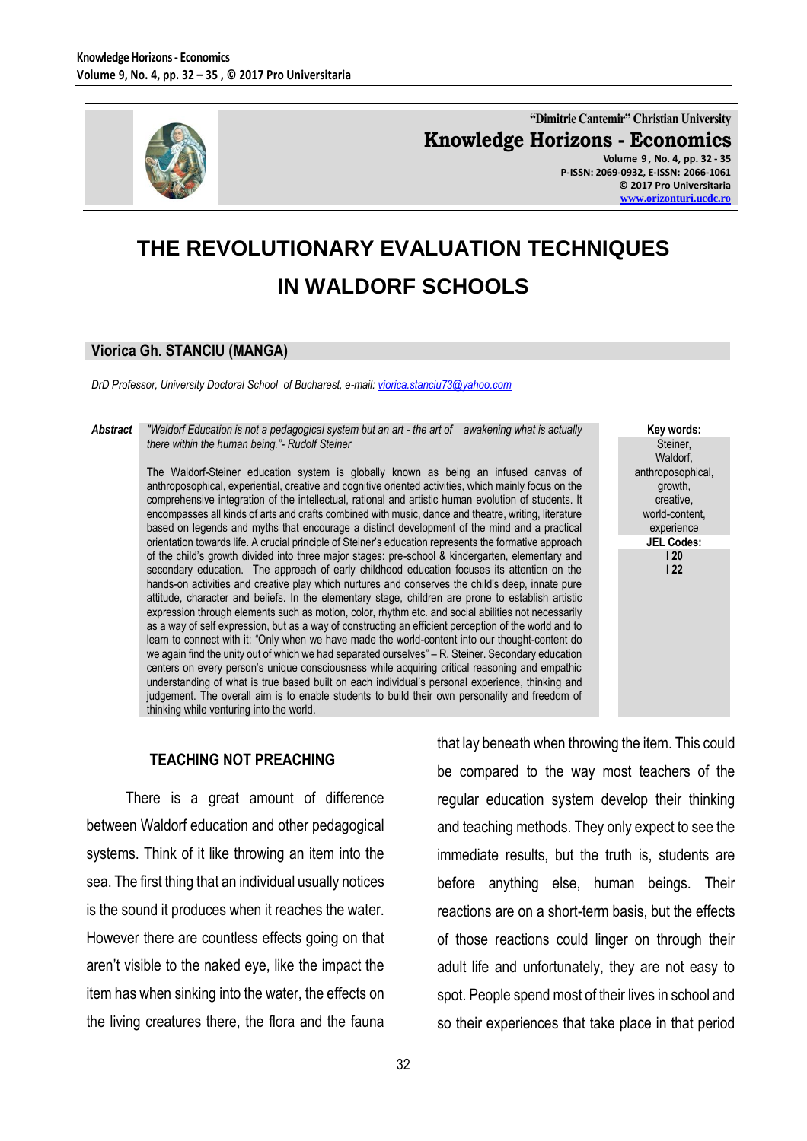

**"Dimitrie Cantemir" Christian University Knowledge Horizons - Economics Volume 9 , No. 4, pp. 32 - 35 P-ISSN: 2069-0932, E-ISSN: 2066-1061**

**© 2017 Pro Universitaria [www.orizonturi.ucdc.ro](http://www.orizonturi.ucdc.ro/)**

> **Key words:** Steiner, Waldorf, anthroposophical, growth, creative, world-content, experience **JEL Codes: I 20 I 22**

## **THE REVOLUTIONARY EVALUATION TECHNIQUES IN WALDORF SCHOOLS**

## **Viorica Gh. STANCIU (MANGA)**

*DrD Professor, University Doctoral School of Bucharest, e-mail[: viorica.stanciu73@yahoo.com](mailto:viorica.stanciu73@yahoo.com)*

*Abstract "Waldorf Education is not a pedagogical system but an art - the art of awakening what is actually there within the human being."- Rudolf Steiner* 

> The Waldorf-Steiner education system is globally known as being an infused canvas of anthroposophical, experiential, creative and cognitive oriented activities, which mainly focus on the comprehensive integration of the intellectual, rational and artistic human evolution of students. It encompasses all kinds of arts and crafts combined with music, dance and theatre, writing, literature based on legends and myths that encourage a distinct development of the mind and a practical orientation towards life. A crucial principle of Steiner's education represents the formative approach of the child's growth divided into three major stages: pre-school & kindergarten, elementary and secondary education. The approach of early childhood education focuses its attention on the hands-on activities and creative play which nurtures and conserves the child's deep, innate pure attitude, character and beliefs. In the elementary stage, children are prone to establish artistic expression through elements such as motion, color, rhythm etc. and social abilities not necessarily as a way of self expression, but as a way of constructing an efficient perception of the world and to learn to connect with it: "Only when we have made the world-content into our thought-content do we again find the unity out of which we had separated ourselves" – R. Steiner. Secondary education centers on every person's unique consciousness while acquiring critical reasoning and empathic understanding of what is true based built on each individual's personal experience, thinking and judgement. The overall aim is to enable students to build their own personality and freedom of thinking while venturing into the world.

## **TEACHING NOT PREACHING**

There is a great amount of difference between Waldorf education and other pedagogical systems. Think of it like throwing an item into the sea. The first thing that an individual usually notices is the sound it produces when it reaches the water. However there are countless effects going on that aren't visible to the naked eye, like the impact the item has when sinking into the water, the effects on the living creatures there, the flora and the fauna that lay beneath when throwing the item. This could be compared to the way most teachers of the regular education system develop their thinking and teaching methods. They only expect to see the immediate results, but the truth is, students are before anything else, human beings. Their reactions are on a short-term basis, but the effects of those reactions could linger on through their adult life and unfortunately, they are not easy to spot. People spend most of their lives in school and so their experiences that take place in that period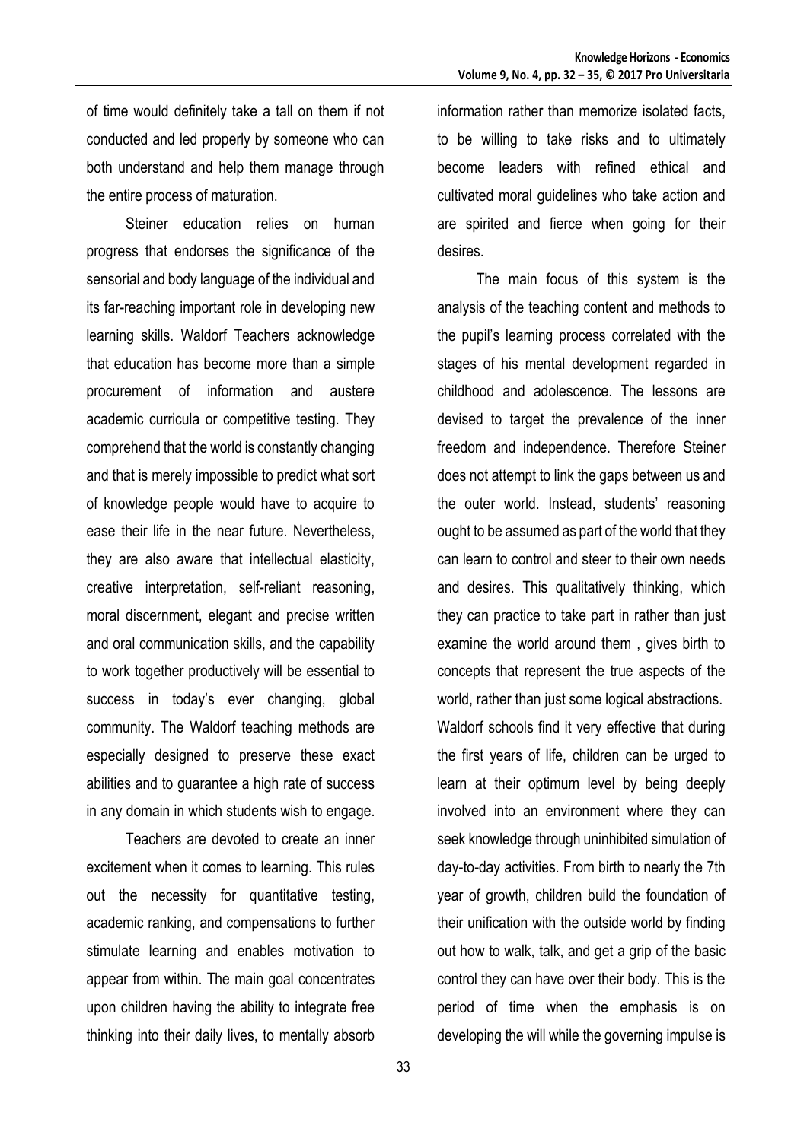of time would definitely take a tall on them if not conducted and led properly by someone who can both understand and help them manage through the entire process of maturation.

Steiner education relies on human progress that endorses the significance of the sensorial and body language of the individual and its far-reaching important role in developing new learning skills. Waldorf Teachers acknowledge that education has become more than a simple procurement of information and austere academic curricula or competitive testing. They comprehend that the world is constantly changing and that is merely impossible to predict what sort of knowledge people would have to acquire to ease their life in the near future. Nevertheless, they are also aware that intellectual elasticity, creative interpretation, self-reliant reasoning, moral discernment, elegant and precise written and oral communication skills, and the capability to work together productively will be essential to success in today's ever changing, global community. The Waldorf teaching methods are especially designed to preserve these exact abilities and to guarantee a high rate of success in any domain in which students wish to engage.

Teachers are devoted to create an inner excitement when it comes to learning. This rules out the necessity for quantitative testing, academic ranking, and compensations to further stimulate learning and enables motivation to appear from within. The main goal concentrates upon children having the ability to integrate free thinking into their daily lives, to mentally absorb information rather than memorize isolated facts, to be willing to take risks and to ultimately become leaders with refined ethical and cultivated moral guidelines who take action and are spirited and fierce when going for their desires.

The main focus of this system is the analysis of the teaching content and methods to the pupil's learning process correlated with the stages of his mental development regarded in childhood and adolescence. The lessons are devised to target the prevalence of the inner freedom and independence. Therefore Steiner does not attempt to link the gaps between us and the outer world. Instead, students' reasoning ought to be assumed as part of the world that they can learn to control and steer to their own needs and desires. This qualitatively thinking, which they can practice to take part in rather than just examine the world around them , gives birth to concepts that represent the true aspects of the world, rather than just some logical abstractions. Waldorf schools find it very effective that during the first years of life, children can be urged to learn at their optimum level by being deeply involved into an environment where they can seek knowledge through uninhibited simulation of day-to-day activities. From birth to nearly the 7th year of growth, children build the foundation of their unification with the outside world by finding out how to walk, talk, and get a grip of the basic control they can have over their body. This is the period of time when the emphasis is on developing the will while the governing impulse is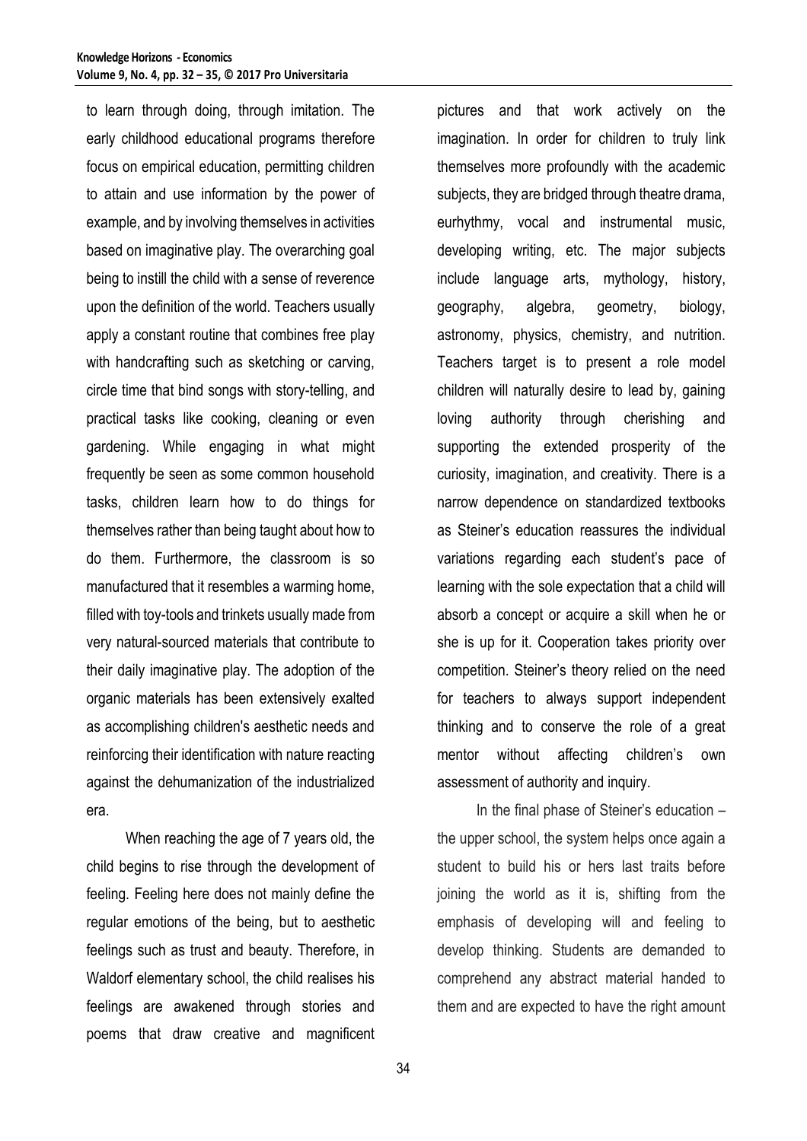to learn through doing, through imitation. The early childhood educational programs therefore focus on empirical education, permitting children to attain and use information by the power of example, and by involving themselves in activities based on imaginative play. The overarching goal being to instill the child with a sense of reverence upon the definition of the world. Teachers usually apply a constant routine that combines free play with handcrafting such as sketching or carving, circle time that bind songs with story-telling, and practical tasks like cooking, cleaning or even gardening. While engaging in what might frequently be seen as some common household tasks, children learn how to do things for themselves rather than being taught about how to do them. Furthermore, the classroom is so manufactured that it resembles a warming home, filled with toy-tools and trinkets usually made from very natural-sourced materials that contribute to their daily imaginative play. The adoption of the organic materials has been extensively exalted as accomplishing children's aesthetic needs and reinforcing their identification with nature reacting against the dehumanization of the industrialized era.

When reaching the age of 7 years old, the child begins to rise through the development of feeling. Feeling here does not mainly define the regular emotions of the being, but to aesthetic feelings such as trust and beauty. Therefore, in Waldorf elementary school, the child realises his feelings are awakened through stories and poems that draw creative and magnificent pictures and that work actively on the imagination. In order for children to truly link themselves more profoundly with the academic subjects, they are bridged through theatre drama, eurhythmy, vocal and instrumental music, developing writing, etc. The major subjects include language arts, mythology, history, geography, algebra, geometry, biology, astronomy, physics, chemistry, and nutrition. Teachers target is to present a role model children will naturally desire to lead by, gaining loving authority through cherishing and supporting the extended prosperity of the curiosity, imagination, and creativity. There is a narrow dependence on standardized textbooks as Steiner's education reassures the individual variations regarding each student's pace of learning with the sole expectation that a child will absorb a concept or acquire a skill when he or she is up for it. Cooperation takes priority over competition. Steiner's theory relied on the need for teachers to always support independent thinking and to conserve the role of a great mentor without affecting children's own assessment of authority and inquiry.

In the final phase of Steiner's education – the upper school, the system helps once again a student to build his or hers last traits before joining the world as it is, shifting from the emphasis of developing will and feeling to develop thinking. Students are demanded to comprehend any abstract material handed to them and are expected to have the right amount